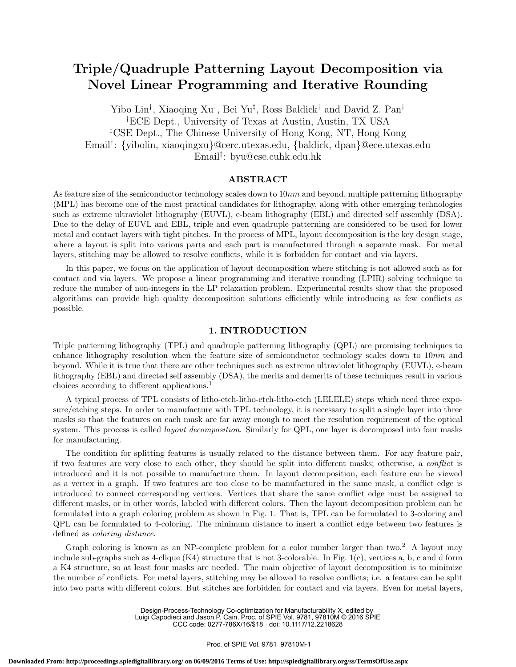# Triple/Quadruple Patterning Layout Decomposition via Novel Linear Programming and Iterative Rounding

Yibo Lin<sup>†</sup>, Xiaoqing Xu<sup>†</sup>, Bei Yu<sup>‡</sup>, Ross Baldick<sup>†</sup> and David Z. Pan<sup>†</sup> †ECE Dept., University of Texas at Austin, Austin, TX USA ‡CSE Dept., The Chinese University of Hong Kong, NT, Hong Kong Email† : {yibolin, xiaoqingxu}@cerc.utexas.edu, {baldick, dpan}@ece.utexas.edu Email‡ : byu@cse.cuhk.edu.hk

## ABSTRACT

As feature size of the semiconductor technology scales down to  $10nm$  and beyond, multiple patterning lithography (MPL) has become one of the most practical candidates for lithography, along with other emerging technologies such as extreme ultraviolet lithography (EUVL), e-beam lithography (EBL) and directed self assembly (DSA). Due to the delay of EUVL and EBL, triple and even quadruple patterning are considered to be used for lower metal and contact layers with tight pitches. In the process of MPL, layout decomposition is the key design stage, where a layout is split into various parts and each part is manufactured through a separate mask. For metal layers, stitching may be allowed to resolve conflicts, while it is forbidden for contact and via layers.

In this paper, we focus on the application of layout decomposition where stitching is not allowed such as for contact and via layers. We propose a linear programming and iterative rounding (LPIR) solving technique to reduce the number of non-integers in the LP relaxation problem. Experimental results show that the proposed algorithms can provide high quality decomposition solutions efficiently while introducing as few conflicts as possible.

### 1. INTRODUCTION

Triple patterning lithography (TPL) and quadruple patterning lithography (QPL) are promising techniques to enhance lithography resolution when the feature size of semiconductor technology scales down to  $10nm$  and beyond. While it is true that there are other techniques such as extreme ultraviolet lithography (EUVL), e-beam lithography (EBL) and directed self assembly (DSA), the merits and demerits of these techniques result in various choices according to different applications.<sup>1</sup>

A typical process of TPL consists of litho-etch-litho-etch-litho-etch (LELELE) steps which need three exposure/etching steps. In order to manufacture with TPL technology, it is necessary to split a single layer into three masks so that the features on each mask are far away enough to meet the resolution requirement of the optical system. This process is called *layout decomposition*. Similarly for QPL, one layer is decomposed into four masks for manufacturing.

The condition for splitting features is usually related to the distance between them. For any feature pair, if two features are very close to each other, they should be split into different masks; otherwise, a conflict is introduced and it is not possible to manufacture them. In layout decomposition, each feature can be viewed as a vertex in a graph. If two features are too close to be manufactured in the same mask, a conflict edge is introduced to connect corresponding vertices. Vertices that share the same conflict edge must be assigned to different masks, or in other words, labeled with different colors. Then the layout decomposition problem can be formulated into a graph coloring problem as shown in Fig. 1. That is, TPL can be formulated to 3-coloring and QPL can be formulated to 4-coloring. The minimum distance to insert a conflict edge between two features is defined as coloring distance.

Graph coloring is known as an NP-complete problem for a color number larger than two.<sup>2</sup> A layout may include sub-graphs such as  $4$ -clique (K4) structure that is not 3-colorable. In Fig.  $1(c)$ , vertices a, b, c and d form a K4 structure, so at least four masks are needed. The main objective of layout decomposition is to minimize the number of conflicts. For metal layers, stitching may be allowed to resolve conflicts; i.e. a feature can be split into two parts with different colors. But stitches are forbidden for contact and via layers. Even for metal layers,

> Design-Process-Technology Co-optimization for Manufacturability X, edited by Luigi Capodieci and Jason P. Cain, Proc. of SPIE Vol. 9781, 97810M © 2016 SPIE CCC code: 0277-786X/16/\$18 · doi: 10.1117/12.2218628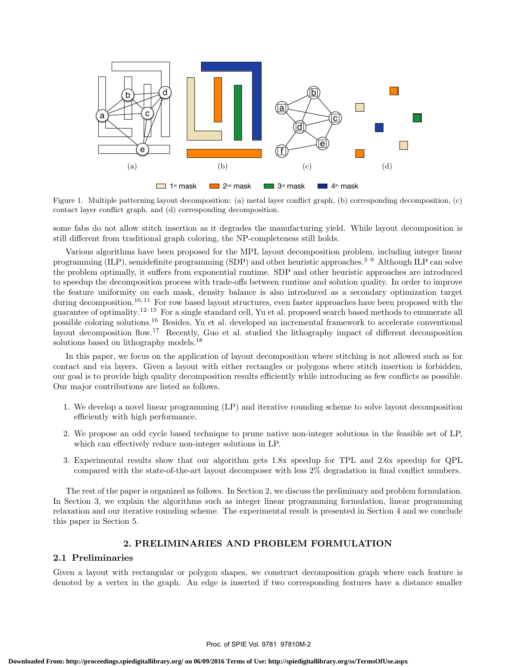

Figure 1. Multiple patterning layout decomposition: (a) metal layer conflict graph, (b) corresponding decomposition, (c) contact layer conflict graph, and (d) corresponding decomposition.

some fabs do not allow stitch insertion as it degrades the manufacturing yield. While layout decomposition is still different from traditional graph coloring, the NP-completeness still holds.

Various algorithms have been proposed for the MPL layout decomposition problem, including integer linear programming (ILP), semidefinite programming (SDP) and other heuristic approaches.<sup>3–9</sup> Although ILP can solve the problem optimally, it suffers from exponential runtime. SDP and other heuristic approaches are introduced to speedup the decomposition process with trade-offs between runtime and solution quality. In order to improve the feature uniformity on each mask, density balance is also introduced as a secondary optimization target during decomposition.<sup>10, 11</sup> For row based layout structures, even faster approaches have been proposed with the guarantee of optimality.12–15 For a single standard cell, Yu et al. proposed search based methods to enumerate all possible coloring solutions.<sup>16</sup> Besides, Yu et al. developed an incremental framework to accelerate conventional layout decomposition flow.<sup>17</sup> Recently, Guo et al. studied the lithography impact of different decomposition solutions based on lithography models.<sup>18</sup>

In this paper, we focus on the application of layout decomposition where stitching is not allowed such as for contact and via layers. Given a layout with either rectangles or polygons where stitch insertion is forbidden, our goal is to provide high quality decomposition results efficiently while introducing as few conflicts as possible. Our major contributions are listed as follows.

- 1. We develop a novel linear programming (LP) and iterative rounding scheme to solve layout decomposition efficiently with high performance.
- 2. We propose an odd cycle based technique to prune native non-integer solutions in the feasible set of LP, which can effectively reduce non-integer solutions in LP.
- 3. Experimental results show that our algorithm gets 1.8x speedup for TPL and 2.6x speedup for QPL compared with the state-of-the-art layout decomposer with less 2% degradation in final conflict numbers.

The rest of the paper is organized as follows. In Section 2, we discuss the preliminary and problem formulation. In Section 3, we explain the algorithms such as integer linear programming formulation, linear programming relaxation and our iterative rounding scheme. The experimental result is presented in Section 4 and we conclude this paper in Section 5.

# 2. PRELIMINARIES AND PROBLEM FORMULATION

### 2.1 Preliminaries

Given a layout with rectangular or polygon shapes, we construct decomposition graph where each feature is denoted by a vertex in the graph. An edge is inserted if two corresponding features have a distance smaller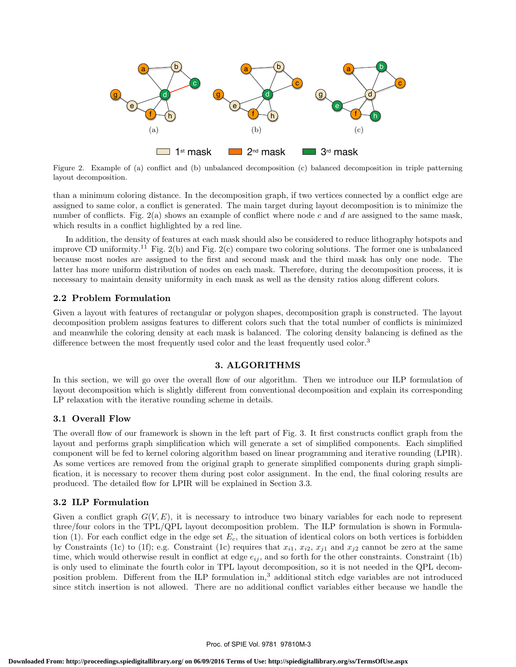

Figure 2. Example of (a) conflict and (b) unbalanced decomposition (c) balanced decomposition in triple patterning layout decomposition.

than a minimum coloring distance. In the decomposition graph, if two vertices connected by a conflict edge are assigned to same color, a conflict is generated. The main target during layout decomposition is to minimize the number of conflicts. Fig.  $2(a)$  shows an example of conflict where node c and d are assigned to the same mask, which results in a conflict highlighted by a red line.

In addition, the density of features at each mask should also be considered to reduce lithography hotspots and improve CD uniformity.<sup>11</sup> Fig. 2(b) and Fig. 2(c) compare two coloring solutions. The former one is unbalanced because most nodes are assigned to the first and second mask and the third mask has only one node. The latter has more uniform distribution of nodes on each mask. Therefore, during the decomposition process, it is necessary to maintain density uniformity in each mask as well as the density ratios along different colors.

### 2.2 Problem Formulation

Given a layout with features of rectangular or polygon shapes, decomposition graph is constructed. The layout decomposition problem assigns features to different colors such that the total number of conflicts is minimized and meanwhile the coloring density at each mask is balanced. The coloring density balancing is defined as the difference between the most frequently used color and the least frequently used color.<sup>3</sup>

### 3. ALGORITHMS

In this section, we will go over the overall flow of our algorithm. Then we introduce our ILP formulation of layout decomposition which is slightly different from conventional decomposition and explain its corresponding LP relaxation with the iterative rounding scheme in details.

### 3.1 Overall Flow

The overall flow of our framework is shown in the left part of Fig. 3. It first constructs conflict graph from the layout and performs graph simplification which will generate a set of simplified components. Each simplified component will be fed to kernel coloring algorithm based on linear programming and iterative rounding (LPIR). As some vertices are removed from the original graph to generate simplified components during graph simplification, it is necessary to recover them during post color assignment. In the end, the final coloring results are produced. The detailed flow for LPIR will be explained in Section 3.3.

### 3.2 ILP Formulation

Given a conflict graph  $G(V, E)$ , it is necessary to introduce two binary variables for each node to represent three/four colors in the TPL/QPL layout decomposition problem. The ILP formulation is shown in Formulation  $(1)$ . For each conflict edge in the edge set  $E_c$ , the situation of identical colors on both vertices is forbidden by Constraints (1c) to (1f); e.g. Constraint (1c) requires that  $x_{i1}$ ,  $x_{i2}$ ,  $x_{j1}$  and  $x_{j2}$  cannot be zero at the same time, which would otherwise result in conflict at edge  $e_{ij}$ , and so forth for the other constraints. Constraint (1b) is only used to eliminate the fourth color in TPL layout decomposition, so it is not needed in the QPL decomposition problem. Different from the ILP formulation in,<sup>3</sup> additional stitch edge variables are not introduced since stitch insertion is not allowed. There are no additional conflict variables either because we handle the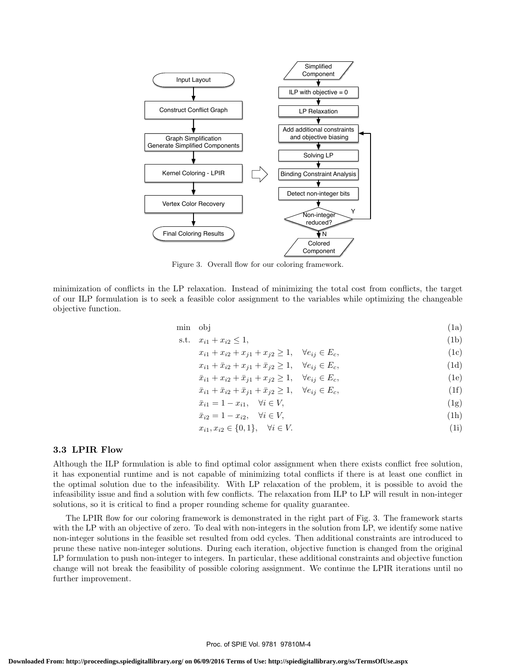

Figure 3. Overall flow for our coloring framework.

minimization of conflicts in the LP relaxation. Instead of minimizing the total cost from conflicts, the target of our ILP formulation is to seek a feasible color assignment to the variables while optimizing the changeable objective function.

$$
\min \quad \text{obj} \tag{1a}
$$

s.t. 
$$
x_{i1} + x_{i2} \le 1
$$
,  
\n $x_{i1} + x_{i2} + x_{i1} + x_{i2} \ge 1$ ,  $\forall e_{ij} \in E_c$ , (1c)

$$
x_{i1} + \bar{x}_{i2} + x_{j1} + \bar{x}_{j2} \ge 1, \quad \forall e_{ij} \in E_c,
$$
\n(1d)

$$
\bar{x}_{i1} + x_{i2} + \bar{x}_{j1} + x_{j2} \ge 1, \quad \forall e_{ij} \in E_c,
$$
\n(1e)

$$
\bar{x}_{i1} + \bar{x}_{i2} + \bar{x}_{j1} + \bar{x}_{j2} \ge 1, \quad \forall e_{ij} \in E_c,
$$
\n(1f)

$$
\bar{x}_{i1} = 1 - x_{i1}, \quad \forall i \in V,
$$
\n
$$
(1g)
$$

$$
\bar{x}_{i2} = 1 - x_{i2}, \quad \forall i \in V,
$$
\n<sup>(1h)</sup>

$$
x_{i1}, x_{i2} \in \{0, 1\}, \quad \forall i \in V. \tag{11}
$$

# 3.3 LPIR Flow

Although the ILP formulation is able to find optimal color assignment when there exists conflict free solution, it has exponential runtime and is not capable of minimizing total conflicts if there is at least one conflict in the optimal solution due to the infeasibility. With LP relaxation of the problem, it is possible to avoid the infeasibility issue and find a solution with few conflicts. The relaxation from ILP to LP will result in non-integer solutions, so it is critical to find a proper rounding scheme for quality guarantee.

The LPIR flow for our coloring framework is demonstrated in the right part of Fig. 3. The framework starts with the LP with an objective of zero. To deal with non-integers in the solution from LP, we identify some native non-integer solutions in the feasible set resulted from odd cycles. Then additional constraints are introduced to prune these native non-integer solutions. During each iteration, objective function is changed from the original LP formulation to push non-integer to integers. In particular, these additional constraints and objective function change will not break the feasibility of possible coloring assignment. We continue the LPIR iterations until no further improvement.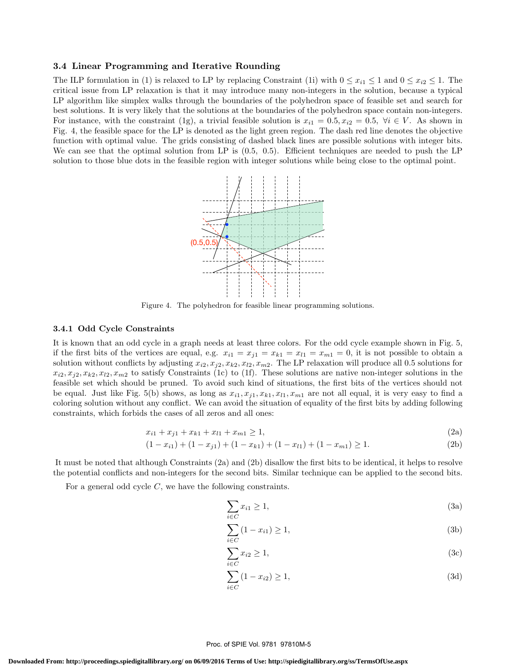### 3.4 Linear Programming and Iterative Rounding

The ILP formulation in (1) is relaxed to LP by replacing Constraint (1i) with  $0 \le x_{i1} \le 1$  and  $0 \le x_{i2} \le 1$ . The critical issue from LP relaxation is that it may introduce many non-integers in the solution, because a typical LP algorithm like simplex walks through the boundaries of the polyhedron space of feasible set and search for best solutions. It is very likely that the solutions at the boundaries of the polyhedron space contain non-integers. For instance, with the constraint (1g), a trivial feasible solution is  $x_{i1} = 0.5, x_{i2} = 0.5, \forall i \in V$ . As shown in Fig. 4, the feasible space for the LP is denoted as the light green region. The dash red line denotes the objective function with optimal value. The grids consisting of dashed black lines are possible solutions with integer bits. We can see that the optimal solution from LP is  $(0.5, 0.5)$ . Efficient techniques are needed to push the LP solution to those blue dots in the feasible region with integer solutions while being close to the optimal point.



Figure 4. The polyhedron for feasible linear programming solutions.

### 3.4.1 Odd Cycle Constraints

It is known that an odd cycle in a graph needs at least three colors. For the odd cycle example shown in Fig. 5, if the first bits of the vertices are equal, e.g.  $x_{i1} = x_{j1} = x_{k1} = x_{l1} = x_{m1} = 0$ , it is not possible to obtain a solution without conflicts by adjusting  $x_{i2}, x_{i2}, x_{k2}, x_{l2}, x_{m2}$ . The LP relaxation will produce all 0.5 solutions for  $x_{i2}, x_{i2}, x_{k2}, x_{l2}, x_{m2}$  to satisfy Constraints (1c) to (1f). These solutions are native non-integer solutions in the feasible set which should be pruned. To avoid such kind of situations, the first bits of the vertices should not be equal. Just like Fig. 5(b) shows, as long as  $x_{i1}, x_{j1}, x_{k1}, x_{l1}, x_{m1}$  are not all equal, it is very easy to find a coloring solution without any conflict. We can avoid the situation of equality of the first bits by adding following constraints, which forbids the cases of all zeros and all ones:

$$
x_{i1} + x_{j1} + x_{k1} + x_{l1} + x_{m1} \ge 1,\tag{2a}
$$

$$
(1 - xi1) + (1 - xj1) + (1 - xk1) + (1 - xl1) + (1 - xm1) \ge 1.
$$
 (2b)

It must be noted that although Constraints (2a) and (2b) disallow the first bits to be identical, it helps to resolve the potential conflicts and non-integers for the second bits. Similar technique can be applied to the second bits.

For a general odd cycle  $C$ , we have the following constraints.

$$
\sum_{i \in C} x_{i1} \ge 1,\tag{3a}
$$

$$
\sum_{i \in C} (1 - x_{i1}) \ge 1,\tag{3b}
$$

$$
\sum_{i \in C} x_{i2} \ge 1,\tag{3c}
$$

$$
\sum_{i \in C} (1 - x_{i2}) \ge 1,\tag{3d}
$$

#### Proc. of SPIE Vol. 9781 97810M-5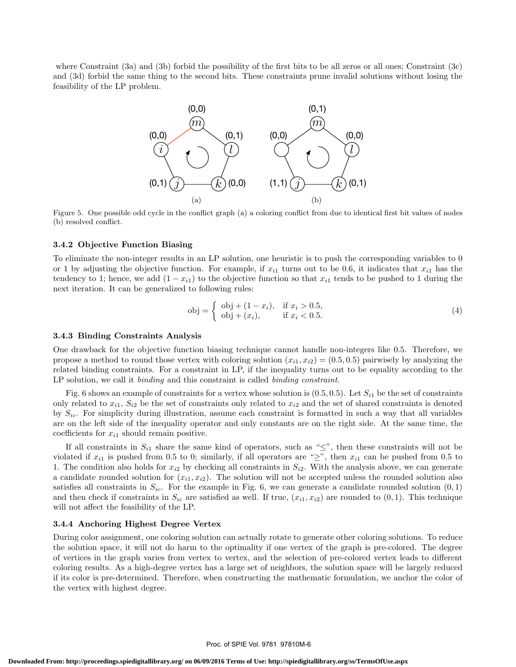where Constraint (3a) and (3b) forbid the possibility of the first bits to be all zeros or all ones; Constraint (3c) and (3d) forbid the same thing to the second bits. These constraints prune invalid solutions without losing the feasibility of the LP problem.



Figure 5. One possible odd cycle in the conflict graph (a) a coloring conflict from due to identical first bit values of nodes (b) resolved conflict.

### 3.4.2 Objective Function Biasing

To eliminate the non-integer results in an LP solution, one heuristic is to push the corresponding variables to 0 or 1 by adjusting the objective function. For example, if  $x_{i1}$  turns out to be 0.6, it indicates that  $x_{i1}$  has the tendency to 1; hence, we add  $(1 - x_{i1})$  to the objective function so that  $x_{i1}$  tends to be pushed to 1 during the next iteration. It can be generalized to following rules:

$$
obj = \begin{cases} obj + (1 - x_i), & \text{if } x_i > 0.5, \\ obj + (x_i), & \text{if } x_i < 0.5. \end{cases}
$$
 (4)

### 3.4.3 Binding Constraints Analysis

One drawback for the objective function biasing technique cannot handle non-integers like 0.5. Therefore, we propose a method to round those vertex with coloring solution  $(x_{i1}, x_{i2}) = (0.5, 0.5)$  pairwisely by analyzing the related binding constraints. For a constraint in LP, if the inequality turns out to be equality according to the LP solution, we call it *binding* and this constraint is called *binding constraint*.

Fig. 6 shows an example of constraints for a vertex whose solution is  $(0.5, 0.5)$ . Let  $S_{i1}$  be the set of constraints only related to  $x_{i1}$ ,  $S_{i2}$  be the set of constraints only related to  $x_{i2}$  and the set of shared constraints is denoted by  $S_{ic}$ . For simplicity during illustration, assume each constraint is formatted in such a way that all variables are on the left side of the inequality operator and only constants are on the right side. At the same time, the coefficients for  $x_{i1}$  should remain positive.

If all constraints in  $S_{i1}$  share the same kind of operators, such as " $\leq$ ", then these constraints will not be violated if  $x_{i1}$  is pushed from 0.5 to 0; similarly, if all operators are "≥", then  $x_{i1}$  can be pushed from 0.5 to 1. The condition also holds for  $x_{i2}$  by checking all constraints in  $S_{i2}$ . With the analysis above, we can generate a candidate rounded solution for  $(x_{i1}, x_{i2})$ . The solution will not be accepted unless the rounded solution also satisfies all constraints in  $S_{ic}$ . For the example in Fig. 6, we can generate a candidate rounded solution  $(0, 1)$ and then check if constraints in  $S_{ic}$  are satisfied as well. If true,  $(x_{i1}, x_{i2})$  are rounded to  $(0, 1)$ . This technique will not affect the feasibility of the LP.

### 3.4.4 Anchoring Highest Degree Vertex

During color assignment, one coloring solution can actually rotate to generate other coloring solutions. To reduce the solution space, it will not do harm to the optimality if one vertex of the graph is pre-colored. The degree of vertices in the graph varies from vertex to vertex, and the selection of pre-colored vertex leads to different coloring results. As a high-degree vertex has a large set of neighbors, the solution space will be largely reduced if its color is pre-determined. Therefore, when constructing the mathematic formulation, we anchor the color of the vertex with highest degree.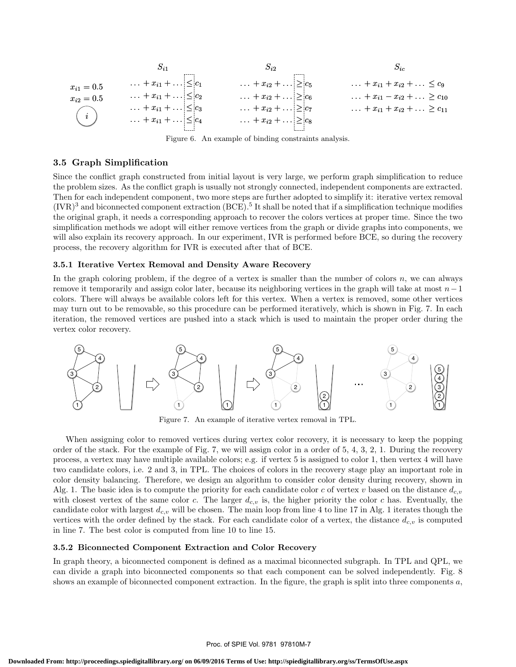

Figure 6. An example of binding constraints analysis.

# 3.5 Graph Simplification

Since the conflict graph constructed from initial layout is very large, we perform graph simplification to reduce the problem sizes. As the conflict graph is usually not strongly connected, independent components are extracted. Then for each independent component, two more steps are further adopted to simplify it: iterative vertex removal  $(IVR)^3$  and biconnected component extraction  $(BCE).<sup>5</sup>$  It shall be noted that if a simplification technique modifies the original graph, it needs a corresponding approach to recover the colors vertices at proper time. Since the two simplification methods we adopt will either remove vertices from the graph or divide graphs into components, we will also explain its recovery approach. In our experiment, IVR is performed before BCE, so during the recovery process, the recovery algorithm for IVR is executed after that of BCE.

### 3.5.1 Iterative Vertex Removal and Density Aware Recovery

In the graph coloring problem, if the degree of a vertex is smaller than the number of colors  $n$ , we can always remove it temporarily and assign color later, because its neighboring vertices in the graph will take at most  $n-1$ colors. There will always be available colors left for this vertex. When a vertex is removed, some other vertices may turn out to be removable, so this procedure can be performed iteratively, which is shown in Fig. 7. In each iteration, the removed vertices are pushed into a stack which is used to maintain the proper order during the vertex color recovery.



Figure 7. An example of iterative vertex removal in TPL.

When assigning color to removed vertices during vertex color recovery, it is necessary to keep the popping order of the stack. For the example of Fig. 7, we will assign color in a order of 5, 4, 3, 2, 1. During the recovery process, a vertex may have multiple available colors; e.g. if vertex 5 is assigned to color 1, then vertex 4 will have two candidate colors, i.e. 2 and 3, in TPL. The choices of colors in the recovery stage play an important role in color density balancing. Therefore, we design an algorithm to consider color density during recovery, shown in Alg. 1. The basic idea is to compute the priority for each candidate color c of vertex v based on the distance  $d_{c,v}$ with closest vertex of the same color c. The larger  $d_{c,v}$  is, the higher priority the color c has. Eventually, the candidate color with largest  $d_{c,v}$  will be chosen. The main loop from line 4 to line 17 in Alg. 1 iterates though the vertices with the order defined by the stack. For each candidate color of a vertex, the distance  $d_{c,v}$  is computed in line 7. The best color is computed from line 10 to line 15.

### 3.5.2 Biconnected Component Extraction and Color Recovery

In graph theory, a biconnected component is defined as a maximal biconnected subgraph. In TPL and QPL, we can divide a graph into biconnected components so that each component can be solved independently. Fig. 8 shows an example of biconnected component extraction. In the figure, the graph is split into three components  $a$ ,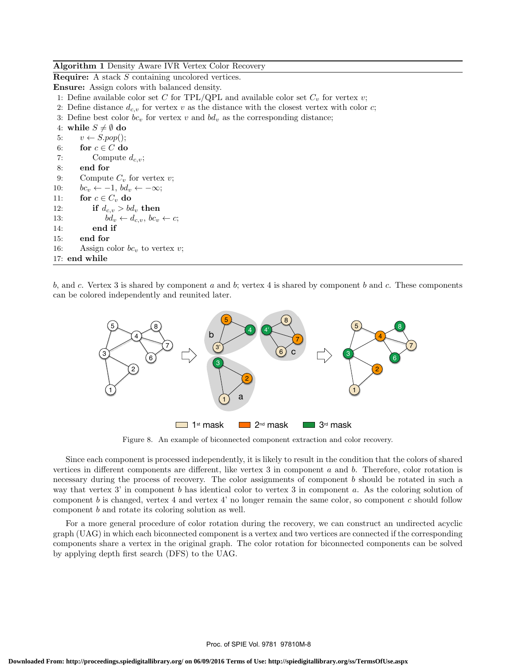Algorithm 1 Density Aware IVR Vertex Color Recovery

Require: A stack S containing uncolored vertices.

Ensure: Assign colors with balanced density.

- 1: Define available color set C for TPL/QPL and available color set  $C_v$  for vertex v;
- 2: Define distance  $d_{c,v}$  for vertex v as the distance with the closest vertex with color c;
- 3: Define best color  $bc_v$  for vertex v and  $bd_v$  as the corresponding distance;

```
4: while S \neq \emptyset do<br>5: v \leftarrow S.pop();5: v \leftarrow S.pop();<br>6: for c \in C do
 6: for c \in C do<br>7: Compute
                Compute d_{c,v};
 8: end for
 9: Compute C_v for vertex v;
10: bc_v \leftarrow -1, bd_v \leftarrow -\infty;<br>11: for c \in C_v do
11: for c \in C_v do<br>12: if d_{c,v} > bcif d_{c,v} > bd_v then
13: bd_v \leftarrow d_{c,v}, bc_v \leftarrow c;<br>14: end if
                end if
15: end for
16: Assign color bc_v to vertex v;
17: end while
```
 $b$ , and  $c$ . Vertex 3 is shared by component  $a$  and  $b$ ; vertex 4 is shared by component  $b$  and  $c$ . These components can be colored independently and reunited later.



Figure 8. An example of biconnected component extraction and color recovery.

Since each component is processed independently, it is likely to result in the condition that the colors of shared vertices in different components are different, like vertex  $3$  in component  $a$  and  $b$ . Therefore, color rotation is necessary during the process of recovery. The color assignments of component b should be rotated in such a way that vertex  $3'$  in component b has identical color to vertex  $3$  in component  $a$ . As the coloring solution of component b is changed, vertex 4 and vertex 4' no longer remain the same color, so component c should follow component b and rotate its coloring solution as well.

For a more general procedure of color rotation during the recovery, we can construct an undirected acyclic graph (UAG) in which each biconnected component is a vertex and two vertices are connected if the corresponding components share a vertex in the original graph. The color rotation for biconnected components can be solved by applying depth first search (DFS) to the UAG.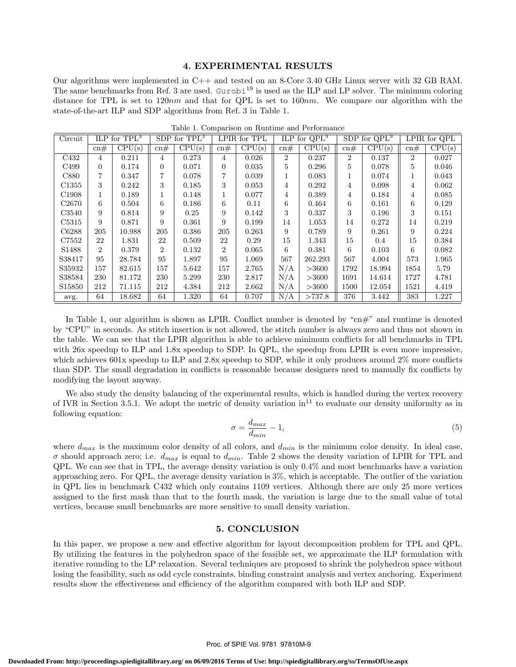### 4. EXPERIMENTAL RESULTS

Our algorithms were implemented in C++ and tested on an 8-Core 3.40 GHz Linux server with 32 GB RAM. The same benchmarks from Ref. 3 are used. Gurobi<sup>19</sup> is used as the ILP and LP solver. The minimum coloring distance for TPL is set to  $120nm$  and that for QPL is set to  $160nm$ . We compare our algorithm with the state-of-the-art ILP and SDP algorithms from Ref. 3 in Table 1.

| Circuit            | $ILP$ for $TPL^3$ |        | SDP for TPL <sup>3</sup> |                            | LPIR for TPL |                            | ILP for $QPL9$ |                            | $SDP$ for $QPL9$ |         | LPIR for OPL   |        |
|--------------------|-------------------|--------|--------------------------|----------------------------|--------------|----------------------------|----------------|----------------------------|------------------|---------|----------------|--------|
|                    | cn#               | CPU(s) | cn#                      | $\overline{\text{CPU}(s)}$ | cn#          | $\overline{\text{CPU}(s)}$ | cn#            | $\overline{\text{CPU}(s)}$ | cn#              | CPU(s)  | cn#            | CPU(s) |
| C432               | 4                 | 0.211  | 4                        | 0.273                      | 4            | 0.026                      | $\overline{2}$ | 0.237                      | $\overline{2}$   | 0.137   | $\overline{2}$ | 0.027  |
| C <sub>499</sub>   | $\Omega$          | 0.174  | 0                        | 0.071                      | $\Omega$     | 0.035                      | 5              | 0.296                      | 5                | 0.078   | 5              | 0.046  |
| C880               | $\overline{7}$    | 0.347  |                          | 0.078                      | 7            | 0.039                      |                | 0.083                      | 1                | 0.074   |                | 0.043  |
| C <sub>1355</sub>  | 3                 | 0.242  | 3                        | 0.185                      | 3            | 0.053                      | 4              | 0.292                      | 4                | 0.098   | 4              | 0.062  |
| C <sub>1908</sub>  |                   | 0.189  |                          | 0.148                      |              | 0.077                      | 4              | 0.389                      | 4                | 0.184   | 4              | 0.085  |
| C <sub>2670</sub>  | 6                 | 0.504  | 6                        | 0.186                      | 6            | 0.11                       | 6              | 0.464                      | 6                | 0.161   | 6              | 0.129  |
| C <sub>3540</sub>  | 9                 | 0.814  | 9                        | 0.25                       | 9            | 0.142                      | 3              | 0.337                      | 3                | 0.196   | 3              | 0.151  |
| C5315              | 9                 | 0.871  | 9                        | 0.361                      | 9            | 0.199                      | 14             | 1.053                      | 14               | 0.272   | 14             | 0.219  |
| C6288              | 205               | 10.988 | 205                      | 0.386                      | 205          | 0.263                      | 9              | 0.789                      | 9                | 0.261   | 9              | 0.224  |
| C7552              | 22                | 1.831  | 22                       | 0.509                      | 22           | 0.29                       | 15             | 1.343                      | 15               | $0.4\,$ | 15             | 0.384  |
| S <sub>1488</sub>  | $\overline{2}$    | 0.379  | 2                        | 0.132                      | 2            | 0.065                      | 6              | 0.381                      | 6                | 0.103   | 6              | 0.082  |
| S38417             | 95                | 28.784 | 95                       | 1.897                      | 95           | 1.069                      | 567            | 262.293                    | 567              | 4.004   | 573            | 1.965  |
| S35932             | 157               | 82.615 | 157                      | 5.642                      | 157          | 2.765                      | N/A            | >3600                      | 1792             | 18.994  | 1854           | 5.79   |
| S38584             | 230               | 81.172 | 230                      | 5.299                      | 230          | 2.817                      | N/A            | >3600                      | 1691             | 14.614  | 1727           | 4.781  |
| S <sub>15850</sub> | 212               | 71.115 | 212                      | 4.384                      | 212          | 2.662                      | N/A            | >3600                      | 1500             | 12.054  | 1521           | 4.419  |
| avg.               | 64                | 18.682 | 64                       | 1.320                      | 64           | 0.707                      | N/A            | >737.8                     | 376              | 3.442   | 383            | 1.227  |

Table 1. Comparison on Runtime and Performance

In Table 1, our algorithm is shown as LPIR. Conflict number is denoted by "cn#" and runtime is denoted by "CPU" in seconds. As stitch insertion is not allowed, the stitch number is always zero and thus not shown in the table. We can see that the LPIR algorithm is able to achieve minimum conflicts for all benchmarks in TPL with 26x speedup to ILP and 1.8x speedup to SDP. In QPL, the speedup from LPIR is even more impressive, which achieves 601x speedup to ILP and 2.8x speedup to SDP, while it only produces around 2\% more conflicts than SDP. The small degradation in conflicts is reasonable because designers need to manually fix conflicts by modifying the layout anyway.

We also study the density balancing of the experimental results, which is handled during the vertex recovery of IVR in Section 3.5.1. We adopt the metric of density variation  $\ln^{11}$  to evaluate our density uniformity as in following equation:

$$
\sigma = \frac{d_{max}}{d_{min}} - 1,\tag{5}
$$

where  $d_{max}$  is the maximum color density of all colors, and  $d_{min}$  is the minimum color density. In ideal case,  $\sigma$  should approach zero; i.e.  $d_{max}$  is equal to  $d_{min}$ . Table 2 shows the density variation of LPIR for TPL and QPL. We can see that in TPL, the average density variation is only 0.4% and most benchmarks have a variation approaching zero. For QPL, the average density variation is 3%, which is acceptable. The outlier of the variation in QPL lies in benchmark C432 which only contains 1109 vertices. Although there are only 25 more vertices assigned to the first mask than that to the fourth mask, the variation is large due to the small value of total vertices, because small benchmarks are more sensitive to small density variation.

# 5. CONCLUSION

In this paper, we propose a new and effective algorithm for layout decomposition problem for TPL and QPL. By utilizing the features in the polyhedron space of the feasible set, we approximate the ILP formulation with iterative rounding to the LP relaxation. Several techniques are proposed to shrink the polyhedron space without losing the feasibility, such as odd cycle constraints, binding constraint analysis and vertex anchoring. Experiment results show the effectiveness and efficiency of the algorithm compared with both ILP and SDP.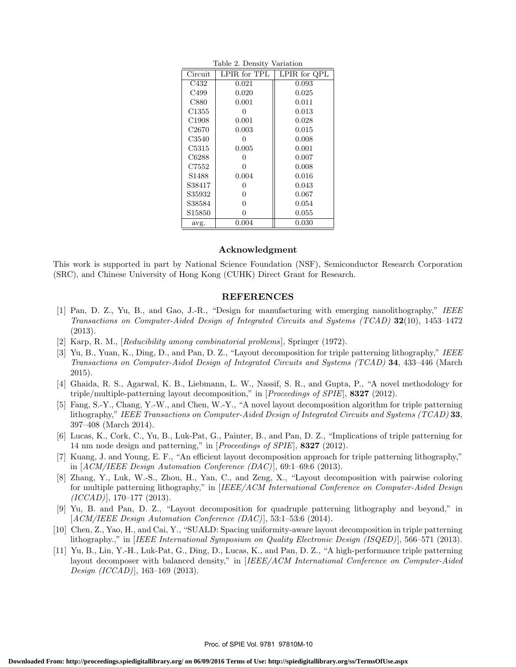| Table 2. Density Variation |              |              |  |  |  |  |  |  |
|----------------------------|--------------|--------------|--|--|--|--|--|--|
| Circuit                    | LPIR for TPL | LPIR for QPL |  |  |  |  |  |  |
| C432                       | $\,0.021\,$  | $\,0.093\,$  |  |  |  |  |  |  |
| C <sub>499</sub>           | 0.020        | 0.025        |  |  |  |  |  |  |
| C880                       | 0.001        | 0.011        |  |  |  |  |  |  |
| C1355                      |              | 0.013        |  |  |  |  |  |  |
| C <sub>1908</sub>          | 0.001        | 0.028        |  |  |  |  |  |  |
| C <sub>2670</sub>          | 0.003        | 0.015        |  |  |  |  |  |  |
| C3540                      |              | 0.008        |  |  |  |  |  |  |
| C5315                      | 0.005        | 0.001        |  |  |  |  |  |  |
| C6288                      | 0            | 0.007        |  |  |  |  |  |  |
| C7552                      | ∩            | 0.008        |  |  |  |  |  |  |
| S <sub>1488</sub>          | 0.004        | 0.016        |  |  |  |  |  |  |
| S38417                     | $\mathbf{0}$ | 0.043        |  |  |  |  |  |  |
| S35932                     | 0            | 0.067        |  |  |  |  |  |  |
| S38584                     | 0            | 0.054        |  |  |  |  |  |  |
| S15850                     | 0            | 0.055        |  |  |  |  |  |  |
| avg.                       | 0.004        | 0.030        |  |  |  |  |  |  |

# Acknowledgment

This work is supported in part by National Science Foundation (NSF), Semiconductor Research Corporation (SRC), and Chinese University of Hong Kong (CUHK) Direct Grant for Research.

### REFERENCES

- [1] Pan, D. Z., Yu, B., and Gao, J.-R., "Design for manufacturing with emerging nanolithography," IEEE Transactions on Computer-Aided Design of Integrated Circuits and Systems (TCAD) 32(10), 1453–1472 (2013).
- [2] Karp, R. M., [Reducibility among combinatorial problems ], Springer (1972).
- [3] Yu, B., Yuan, K., Ding, D., and Pan, D. Z., "Layout decomposition for triple patterning lithography," IEEE Transactions on Computer-Aided Design of Integrated Circuits and Systems (TCAD) 34, 433–446 (March 2015).
- [4] Ghaida, R. S., Agarwal, K. B., Liebmann, L. W., Nassif, S. R., and Gupta, P., "A novel methodology for triple/multiple-patterning layout decomposition," in [*Proceedings of SPIE*], 8327 (2012).
- [5] Fang, S.-Y., Chang, Y.-W., and Chen, W.-Y., "A novel layout decomposition algorithm for triple patterning lithography," IEEE Transactions on Computer-Aided Design of Integrated Circuits and Systems (TCAD) 33, 397–408 (March 2014).
- [6] Lucas, K., Cork, C., Yu, B., Luk-Pat, G., Painter, B., and Pan, D. Z., "Implications of triple patterning for 14 nm node design and patterning," in [Proceedings of SPIE], 8327 (2012).
- [7] Kuang, J. and Young, E. F., "An efficient layout decomposition approach for triple patterning lithography," in  $[ACM/IEEE$  Design Automation Conference  $(DAC)$ ], 69:1-69:6 (2013).
- [8] Zhang, Y., Luk, W.-S., Zhou, H., Yan, C., and Zeng, X., "Layout decomposition with pairwise coloring for multiple patterning lithography," in [IEEE/ACM International Conference on Computer-Aided Design  $(ICCAD)$ ], 170–177 (2013).
- [9] Yu, B. and Pan, D. Z., "Layout decomposition for quadruple patterning lithography and beyond," in  $[ACM/IEEE$  Design Automation Conference  $(DAC)]$ , 53:1-53:6 (2014).
- [10] Chen, Z., Yao, H., and Cai, Y., "SUALD: Spacing uniformity-aware layout decomposition in triple patterning lithography.," in [IEEE International Symposium on Quality Electronic Design (ISQED) ], 566–571 (2013).
- [11] Yu, B., Lin, Y.-H., Luk-Pat, G., Ding, D., Lucas, K., and Pan, D. Z., "A high-performance triple patterning layout decomposer with balanced density," in [IEEE/ACM International Conference on Computer-Aided Design (ICCAD), 163-169 (2013).